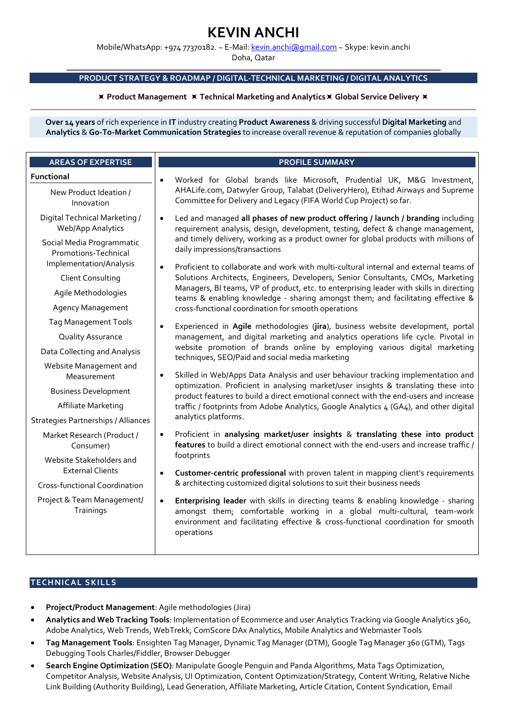# KEVIN ANCHI

Mobile/WhatsApp: +974 77370182. ~ E-Mail: kevin.anchi@gmail.com ~ Skype: kevin.anchi

Doha, Qatar

# PRODUCT STRATEGY & ROADMAP / DIGITAL-TECHNICAL MARKETING / DIGITAL ANALYTICS

# $\times$  Product Management  $\times$  Technical Marketing and Analytics  $\times$  Global Service Delivery  $\times$

Over 14 years of rich experience in IT industry creating Product Awareness & driving successful Digital Marketing and Analytics & Go-To-Market Communication Strategies to increase overall revenue & reputation of companies globally

| <b>AREAS OF EXPERTISE</b>                          | <b>PROFILE SUMMARY</b>                                                                                                                                                                                                                                                       |
|----------------------------------------------------|------------------------------------------------------------------------------------------------------------------------------------------------------------------------------------------------------------------------------------------------------------------------------|
| Functional                                         | Worked for Global brands like Microsoft, Prudential UK, M&G Investment,<br>$\bullet$<br>AHALife.com, Datwyler Group, Talabat (DeliveryHero), Etihad Airways and Supreme<br>Committee for Delivery and Legacy (FIFA World Cup Project) so far.                                |
| New Product Ideation /<br>Innovation               |                                                                                                                                                                                                                                                                              |
| Digital Technical Marketing /<br>Web/App Analytics | Led and managed all phases of new product offering / launch / branding including<br>requirement analysis, design, development, testing, defect & change management,                                                                                                          |
| Social Media Programmatic<br>Promotions-Technical  | and timely delivery, working as a product owner for global products with millions of<br>daily impressions/transactions                                                                                                                                                       |
| Implementation/Analysis                            | Proficient to collaborate and work with multi-cultural internal and external teams of<br>$\bullet$<br>Solutions Architects, Engineers, Developers, Senior Consultants, CMOs, Marketing                                                                                       |
| <b>Client Consulting</b><br>Agile Methodologies    | Managers, BI teams, VP of product, etc. to enterprising leader with skills in directing<br>teams & enabling knowledge - sharing amongst them; and facilitating effective &<br>cross-functional coordination for smooth operations                                            |
| <b>Agency Management</b>                           |                                                                                                                                                                                                                                                                              |
| <b>Tag Management Tools</b>                        |                                                                                                                                                                                                                                                                              |
| Quality Assurance                                  | Experienced in Agile methodologies (jira), business website development, portal<br>$\bullet$<br>management, and digital marketing and analytics operations life cycle. Pivotal in                                                                                            |
| Data Collecting and Analysis                       | website promotion of brands online by employing various digital marketing<br>techniques, SEO/Paid and social media marketing                                                                                                                                                 |
| Website Management and<br>Measurement              | Skilled in Web/Apps Data Analysis and user behaviour tracking implementation and<br>$\bullet$<br>optimization. Proficient in analysing market/user insights & translating these into<br>product features to build a direct emotional connect with the end-users and increase |
| <b>Business Development</b>                        |                                                                                                                                                                                                                                                                              |
| Affiliate Marketing                                | traffic / footprints from Adobe Analytics, Google Analytics 4 (GA4), and other digital                                                                                                                                                                                       |
| <b>Strategies Partnerships / Alliances</b>         | analytics platforms.                                                                                                                                                                                                                                                         |
| Market Research (Product /<br>Consumer)            | Proficient in analysing market/user insights & translating these into product<br>$\bullet$<br>features to build a direct emotional connect with the end-users and increase traffic /                                                                                         |
| Website Stakeholders and                           | footprints                                                                                                                                                                                                                                                                   |
| <b>External Clients</b>                            | Customer-centric professional with proven talent in mapping client's requirements<br>$\bullet$<br>& architecting customized digital solutions to suit their business needs                                                                                                   |
| <b>Cross-functional Coordination</b>               |                                                                                                                                                                                                                                                                              |
| Project & Team Management/<br>Trainings            | Enterprising leader with skills in directing teams & enabling knowledge - sharing<br>$\bullet$<br>amongst them; comfortable working in a global multi-cultural, team-work<br>environment and facilitating effective & cross-functional coordination for smooth<br>operations |
|                                                    |                                                                                                                                                                                                                                                                              |

# **TECHNICAL SKILLS**

- Project/Product Management: Agile methodologies (Jira)
- Analytics and Web Tracking Tools: Implementation of Ecommerce and user Analytics Tracking via Google Analytics 360, Adobe Analytics, Web Trends, WebTrekk, ComScore DAx Analytics, Mobile Analytics and Webmaster Tools
- Tag Management Tools: Ensighten Tag Manager, Dynamic Tag Manager (DTM), Google Tag Manager 360 (GTM), Tags Debugging Tools Charles/Fiddler, Browser Debugger
- Search Engine Optimization (SEO): Manipulate Google Penguin and Panda Algorithms, Mata Tags Optimization, Competitor Analysis, Website Analysis, UI Optimization, Content Optimization/Strategy, Content Writing, Relative Niche Link Building (Authority Building), Lead Generation, Affiliate Marketing, Article Citation, Content Syndication, Email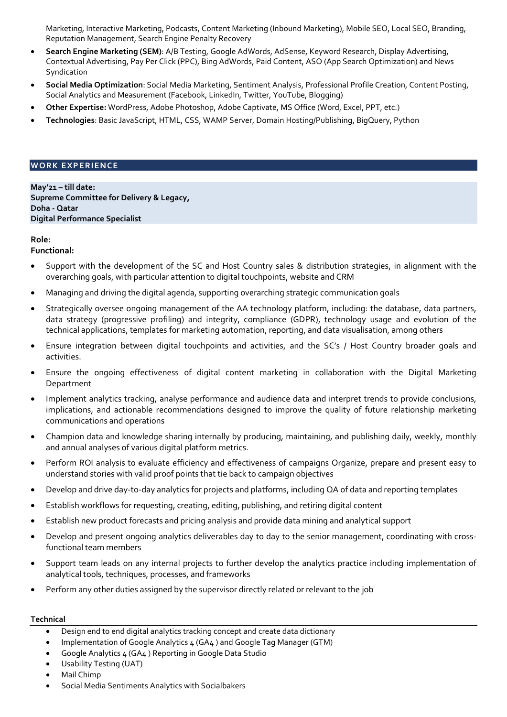Marketing, Interactive Marketing, Podcasts, Content Marketing (Inbound Marketing), Mobile SEO, Local SEO, Branding, Reputation Management, Search Engine Penalty Recovery

- Search Engine Marketing (SEM): A/B Testing, Google AdWords, AdSense, Keyword Research, Display Advertising, Contextual Advertising, Pay Per Click (PPC), Bing AdWords, Paid Content, ASO (App Search Optimization) and News Syndication
- Social Media Optimization: Social Media Marketing, Sentiment Analysis, Professional Profile Creation, Content Posting, Social Analytics and Measurement (Facebook, LinkedIn, Twitter, YouTube, Blogging)
- Other Expertise: WordPress, Adobe Photoshop, Adobe Captivate, MS Office (Word, Excel, PPT, etc.)
- Technologies: Basic JavaScript, HTML, CSS, WAMP Server, Domain Hosting/Publishing, BigQuery, Python

## **WORK EXPERIENCE**

May'21 – till date: Supreme Committee for Delivery & Legacy, Doha - Qatar Digital Performance Specialist

# Role:

Functional:

- Support with the development of the SC and Host Country sales & distribution strategies, in alignment with the overarching goals, with particular attention to digital touchpoints, website and CRM
- Managing and driving the digital agenda, supporting overarching strategic communication goals
- Strategically oversee ongoing management of the AA technology platform, including: the database, data partners, data strategy (progressive profiling) and integrity, compliance (GDPR), technology usage and evolution of the technical applications, templates for marketing automation, reporting, and data visualisation, among others
- Ensure integration between digital touchpoints and activities, and the SC's / Host Country broader goals and activities.
- Ensure the ongoing effectiveness of digital content marketing in collaboration with the Digital Marketing Department
- Implement analytics tracking, analyse performance and audience data and interpret trends to provide conclusions, implications, and actionable recommendations designed to improve the quality of future relationship marketing communications and operations
- Champion data and knowledge sharing internally by producing, maintaining, and publishing daily, weekly, monthly and annual analyses of various digital platform metrics.
- Perform ROI analysis to evaluate efficiency and effectiveness of campaigns Organize, prepare and present easy to understand stories with valid proof points that tie back to campaign objectives
- Develop and drive day-to-day analytics for projects and platforms, including QA of data and reporting templates
- Establish workflows for requesting, creating, editing, publishing, and retiring digital content
- Establish new product forecasts and pricing analysis and provide data mining and analytical support
- Develop and present ongoing analytics deliverables day to day to the senior management, coordinating with crossfunctional team members
- Support team leads on any internal projects to further develop the analytics practice including implementation of analytical tools, techniques, processes, and frameworks
- Perform any other duties assigned by the supervisor directly related or relevant to the job

#### **Technical**

- Design end to end digital analytics tracking concept and create data dictionary
- Implementation of Google Analytics 4 (GA4 ) and Google Tag Manager (GTM)
- Google Analytics 4 (GA4 ) Reporting in Google Data Studio
- Usability Testing (UAT)
- Mail Chimp
- Social Media Sentiments Analytics with Socialbakers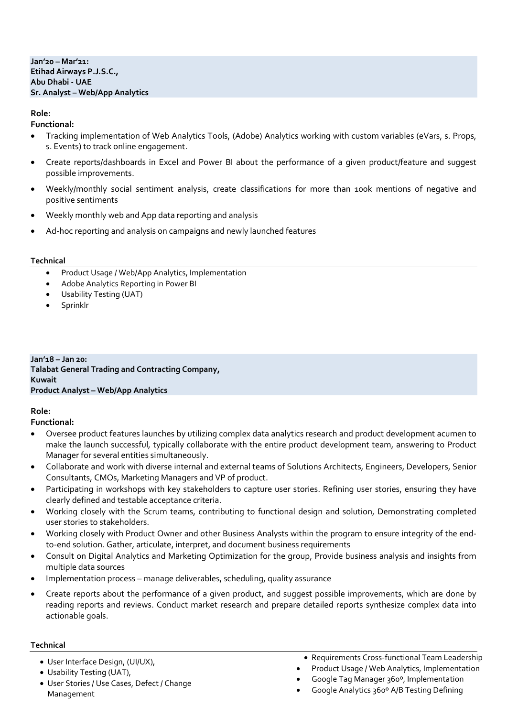## Jan'20 – Mar'21: Etihad Airways P.J.S.C., Abu Dhabi - UAE Sr. Analyst – Web/App Analytics

# Role:

# Functional:

- Tracking implementation of Web Analytics Tools, (Adobe) Analytics working with custom variables (eVars, s. Props, s. Events) to track online engagement.
- Create reports/dashboards in Excel and Power BI about the performance of a given product/feature and suggest possible improvements.
- Weekly/monthly social sentiment analysis, create classifications for more than 100k mentions of negative and positive sentiments
- Weekly monthly web and App data reporting and analysis
- Ad-hoc reporting and analysis on campaigns and newly launched features

# **Technical**

- Product Usage / Web/App Analytics, Implementation
- Adobe Analytics Reporting in Power BI
- Usability Testing (UAT)
- Sprinklr

### Jan'18 – Jan 20: Talabat General Trading and Contracting Company, Kuwait Product Analyst – Web/App Analytics

# Role:

Functional:

- Oversee product features launches by utilizing complex data analytics research and product development acumen to make the launch successful, typically collaborate with the entire product development team, answering to Product Manager for several entities simultaneously.
- Collaborate and work with diverse internal and external teams of Solutions Architects, Engineers, Developers, Senior Consultants, CMOs, Marketing Managers and VP of product.
- Participating in workshops with key stakeholders to capture user stories. Refining user stories, ensuring they have clearly defined and testable acceptance criteria.
- Working closely with the Scrum teams, contributing to functional design and solution, Demonstrating completed user stories to stakeholders.
- Working closely with Product Owner and other Business Analysts within the program to ensure integrity of the endto-end solution. Gather, articulate, interpret, and document business requirements
- Consult on Digital Analytics and Marketing Optimization for the group, Provide business analysis and insights from multiple data sources
- Implementation process manage deliverables, scheduling, quality assurance
- Create reports about the performance of a given product, and suggest possible improvements, which are done by reading reports and reviews. Conduct market research and prepare detailed reports synthesize complex data into actionable goals.

# **Technical**

- User Interface Design, (UI/UX),
- Usability Testing (UAT),
- User Stories / Use Cases, Defect / Change Management
- Requirements Cross-functional Team Leadership
- Product Usage / Web Analytics, Implementation
- Google Tag Manager 360º, Implementation
- Google Analytics 360º A/B Testing Defining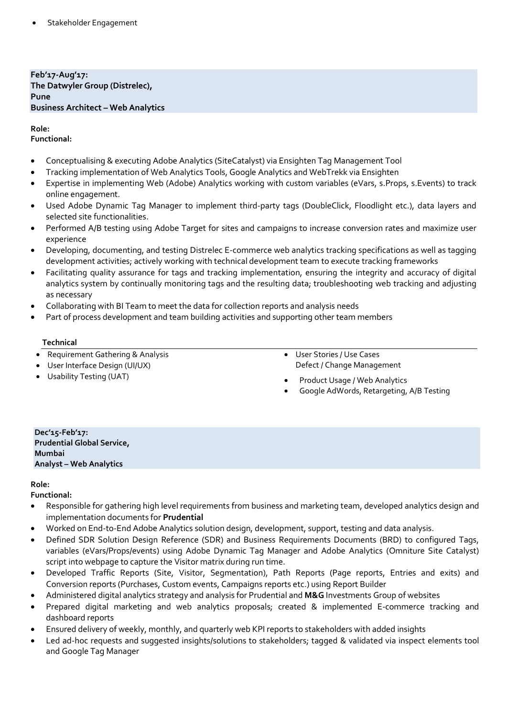Feb'17-Aug'17: The Datwyler Group (Distrelec), Pune Business Architect – Web Analytics

# Role:

Functional:

- Conceptualising & executing Adobe Analytics (SiteCatalyst) via Ensighten Tag Management Tool
- Tracking implementation of Web Analytics Tools, Google Analytics and WebTrekk via Ensighten
- Expertise in implementing Web (Adobe) Analytics working with custom variables (eVars, s.Props, s.Events) to track online engagement.
- Used Adobe Dynamic Tag Manager to implement third-party tags (DoubleClick, Floodlight etc.), data layers and selected site functionalities.
- Performed A/B testing using Adobe Target for sites and campaigns to increase conversion rates and maximize user experience
- Developing, documenting, and testing Distrelec E-commerce web analytics tracking specifications as well as tagging development activities; actively working with technical development team to execute tracking frameworks
- Facilitating quality assurance for tags and tracking implementation, ensuring the integrity and accuracy of digital analytics system by continually monitoring tags and the resulting data; troubleshooting web tracking and adjusting as necessary
- Collaborating with BI Team to meet the data for collection reports and analysis needs
- Part of process development and team building activities and supporting other team members

# **Technical**

- Requirement Gathering & Analysis
- User Interface Design (UI/UX)
- Usability Testing (UAT)
- User Stories / Use Cases Defect / Change Management
- Product Usage / Web Analytics
- Google AdWords, Retargeting, A/B Testing

#### Dec'15-Feb'17: Prudential Global Service, Mumbai Analyst – Web Analytics

# Role:

Functional:

- Responsible for gathering high level requirements from business and marketing team, developed analytics design and implementation documents for Prudential
- Worked on End-to-End Adobe Analytics solution design, development, support, testing and data analysis.
- Defined SDR Solution Design Reference (SDR) and Business Requirements Documents (BRD) to configured Tags, variables (eVars/Props/events) using Adobe Dynamic Tag Manager and Adobe Analytics (Omniture Site Catalyst) script into webpage to capture the Visitor matrix during run time.
- Developed Traffic Reports (Site, Visitor, Segmentation), Path Reports (Page reports, Entries and exits) and Conversion reports (Purchases, Custom events, Campaigns reports etc.) using Report Builder
- Administered digital analytics strategy and analysis for Prudential and M&G Investments Group of websites
- Prepared digital marketing and web analytics proposals; created & implemented E-commerce tracking and dashboard reports
- Ensured delivery of weekly, monthly, and quarterly web KPI reports to stakeholders with added insights
- Led ad-hoc requests and suggested insights/solutions to stakeholders; tagged & validated via inspect elements tool and Google Tag Manager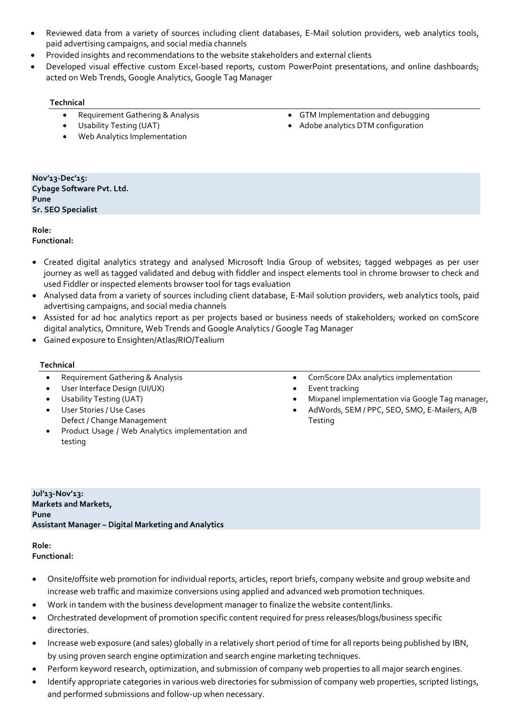- Reviewed data from a variety of sources including client databases, E-Mail solution providers, web analytics tools, paid advertising campaigns, and social media channels
- Provided insights and recommendations to the website stakeholders and external clients
- Developed visual effective custom Excel-based reports, custom PowerPoint presentations, and online dashboards; acted on Web Trends, Google Analytics, Google Tag Manager

# **Technical**

- Requirement Gathering & Analysis
- Usability Testing (UAT)
- Web Analytics Implementation
- GTM Implementation and debugging
- Adobe analytics DTM configuration

Nov'13-Dec'15: Cybage Software Pvt. Ltd. Pune Sr. SEO Specialist

#### Role: Functional:

- Created digital analytics strategy and analysed Microsoft India Group of websites; tagged webpages as per user journey as well as tagged validated and debug with fiddler and inspect elements tool in chrome browser to check and used Fiddler or inspected elements browser tool for tags evaluation
- Analysed data from a variety of sources including client database, E-Mail solution providers, web analytics tools, paid advertising campaigns, and social media channels
- Assisted for ad hoc analytics report as per projects based or business needs of stakeholders; worked on comScore digital analytics, Omniture, Web Trends and Google Analytics / Google Tag Manager
- Gained exposure to Ensighten/Atlas/RIO/Tealium

# **Technical**

- Requirement Gathering & Analysis
- User Interface Design (UI/UX)
- Usability Testing (UAT)
- User Stories / Use Cases Defect / Change Management
- Product Usage / Web Analytics implementation and testing
- ComScore DAx analytics implementation
- Event tracking
- Mixpanel implementation via Google Tag manager,
- AdWords, SEM / PPC, SEO, SMO, E-Mailers, A/B **Testing**

Jul'13-Nov'13: Markets and Markets, Pune Assistant Manager – Digital Marketing and Analytics

Role: Functional:

- Onsite/offsite web promotion for individual reports, articles, report briefs, company website and group website and increase web traffic and maximize conversions using applied and advanced web promotion techniques.
- Work in tandem with the business development manager to finalize the website content/links.
- Orchestrated development of promotion specific content required for press releases/blogs/business specific directories.
- Increase web exposure (and sales) globally in a relatively short period of time for all reports being published by IBN, by using proven search engine optimization and search engine marketing techniques.
- Perform keyword research, optimization, and submission of company web properties to all major search engines.
- Identify appropriate categories in various web directories for submission of company web properties, scripted listings, and performed submissions and follow-up when necessary.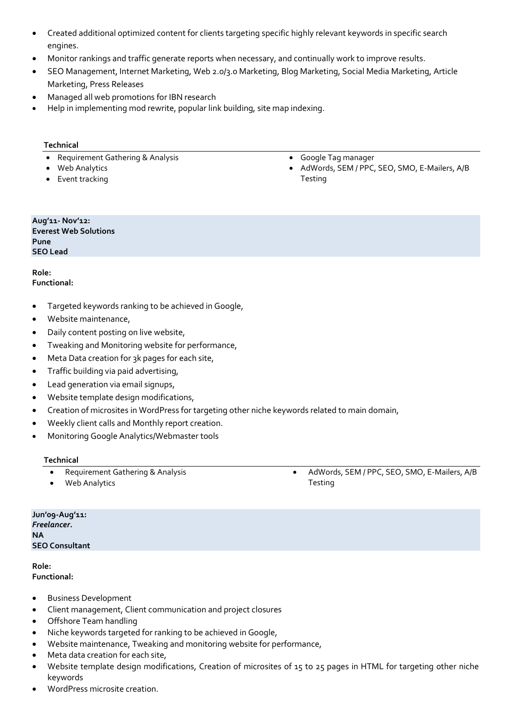- Created additional optimized content for clients targeting specific highly relevant keywords in specific search engines.
- Monitor rankings and traffic generate reports when necessary, and continually work to improve results.
- SEO Management, Internet Marketing, Web 2.0/3.0 Marketing, Blog Marketing, Social Media Marketing, Article Marketing, Press Releases
- Managed all web promotions for IBN research
- Help in implementing mod rewrite, popular link building, site map indexing.

## **Technical**

- Requirement Gathering & Analysis
- Web Analytics
- Event tracking
- Google Tag manager
- AdWords, SEM / PPC, SEO, SMO, E-Mailers, A/B Testing

#### Aug'11- Nov'12: Everest Web Solutions Pune SEO Lead

Role: Functional:

- Targeted keywords ranking to be achieved in Google,
- Website maintenance,
- Daily content posting on live website,
- Tweaking and Monitoring website for performance,
- Meta Data creation for 3k pages for each site,
- Traffic building via paid advertising,
- Lead generation via email signups,
- Website template design modifications,
- Creation of microsites in WordPress for targeting other niche keywords related to main domain,
- Weekly client calls and Monthly report creation.
- Monitoring Google Analytics/Webmaster tools

# Technical

Requirement Gathering & Analysis

 AdWords, SEM / PPC, SEO, SMO, E-Mailers, A/B Testing

Jun'09-Aug'11: Freelancer. NA SEO Consultant

Role: Functional:

Business Development

Web Analytics

- Client management, Client communication and project closures
- Offshore Team handling
- Niche keywords targeted for ranking to be achieved in Google,
- Website maintenance, Tweaking and monitoring website for performance,
- Meta data creation for each site,
- Website template design modifications, Creation of microsites of 15 to 25 pages in HTML for targeting other niche keywords
- WordPress microsite creation.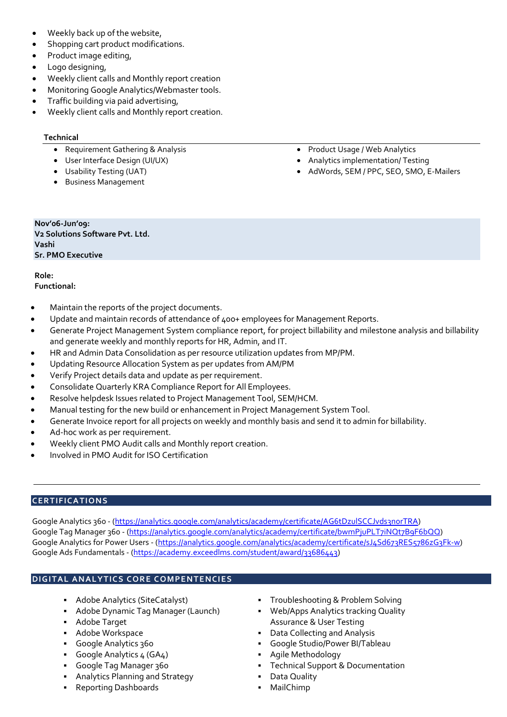- Weekly back up of the website,
- Shopping cart product modifications.
- Product image editing,
- Logo designing,
- Weekly client calls and Monthly report creation
- Monitoring Google Analytics/Webmaster tools.
- Traffic building via paid advertising,
- Weekly client calls and Monthly report creation.

## Technical

- Requirement Gathering & Analysis
- User Interface Design (UI/UX)
- Usability Testing (UAT)
- Business Management
- Product Usage / Web Analytics
- Analytics implementation/ Testing
- AdWords, SEM / PPC, SEO, SMO, E-Mailers

Nov'06-Jun'09: V2 Solutions Software Pvt. Ltd. Vashi Sr. PMO Executive

Role: Functional:

- Maintain the reports of the project documents.
- Update and maintain records of attendance of 400+ employees for Management Reports.
- Generate Project Management System compliance report, for project billability and milestone analysis and billability and generate weekly and monthly reports for HR, Admin, and IT.
- HR and Admin Data Consolidation as per resource utilization updates from MP/PM.
- Updating Resource Allocation System as per updates from AM/PM
- Verify Project details data and update as per requirement.
- Consolidate Quarterly KRA Compliance Report for All Employees.
- Resolve helpdesk Issues related to Project Management Tool, SEM/HCM.
- Manual testing for the new build or enhancement in Project Management System Tool.
- Generate Invoice report for all projects on weekly and monthly basis and send it to admin for billability.
- Ad-hoc work as per requirement.
- Weekly client PMO Audit calls and Monthly report creation.
- Involved in PMO Audit for ISO Certification

# **CERTIFICATIONS**

Google Analytics 360 - (https://analytics.google.com/analytics/academy/certificate/AG6tDzulSCCJvds3norTRA) Google Tag Manager 360 - (https://analytics.google.com/analytics/academy/certificate/bwmPjuPLT7iNQt7B9F6bQQ) Google Analytics for Power Users - (https://analytics.google.com/analytics/academy/certificate/sJ4Sd673RES5786zG3Fk-w) Google Ads Fundamentals - (https://academy.exceedlms.com/student/award/33686443)

# DIGITAL ANALYTICS CORE COMPENTENCIES

- **Adobe Analytics (SiteCatalyst)**
- **Adobe Dynamic Tag Manager (Launch)**
- Adobe Target
- Adobe Workspace
- Google Analytics 360
- Google Analytics  $4 (GA4)$
- Google Tag Manager 360
- Analytics Planning and Strategy
- Reporting Dashboards
- Troubleshooting & Problem Solving
- Web/Apps Analytics tracking Quality Assurance & User Testing
- Data Collecting and Analysis
- Google Studio/Power BI/Tableau
- Agile Methodology
- Technical Support & Documentation
- **-** Data Quality
- MailChimp